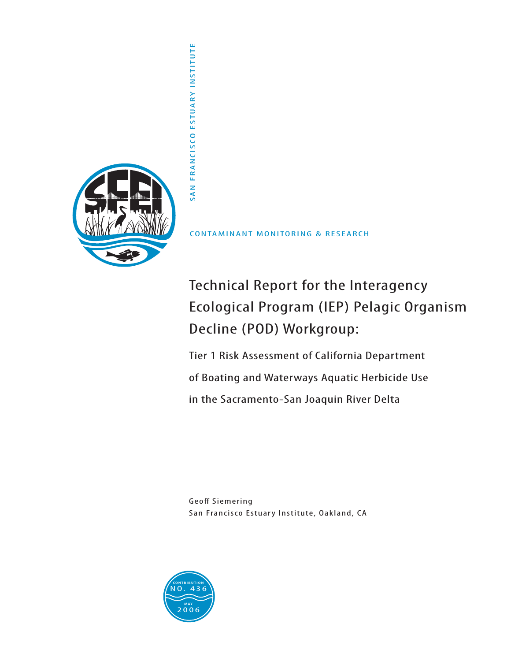

CONTAMINANT MONITORING & RESEARCH

# Technical Report for the Interagency Ecological Program (IEP) Pelagic Organism Decline (POD) Workgroup:

Tier 1 Risk Assessment of California Department of Boating and Waterways Aquatic Herbicide Use in the Sacramento-San Joaquin River Delta

Geoff Siemering San Francisco Estuary Institute, Oakland, CA

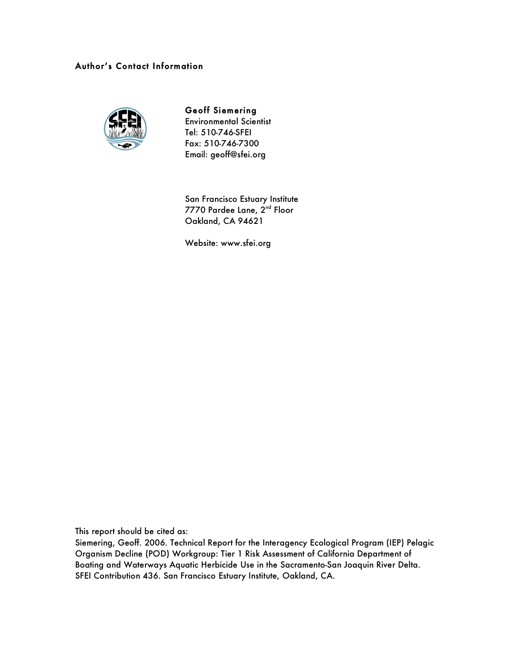### Author's Contact Information



## Geoff Siemering

Environmental Scientist Tel: 510-746-SFEI Fax: 510-746-7300 Email: geoff@sfei.org

San Francisco Estuary Institute 7770 Pardee Lane, 2<sup>nd</sup> Floor Oakland, CA 94621

Website: www.sfei.org

This report should be cited as:

Siemering, Geoff. 2006. Technical Report for the Interagency Ecological Program (IEP) Pelagic Organism Decline (POD) Workgroup: Tier 1 Risk Assessment of California Department of Boating and Waterways Aquatic Herbicide Use in the Sacramento-San Joaquin River Delta. SFEI Contribution 436. San Francisco Estuary Institute, Oakland, CA.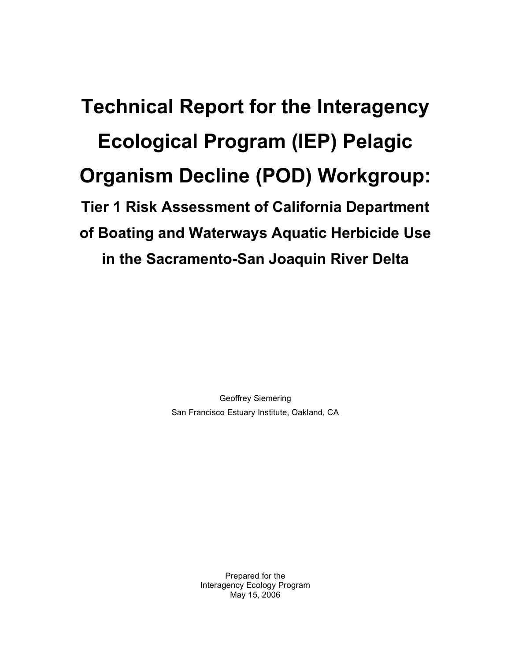**Technical Report for the Interagency Ecological Program (IEP) Pelagic Organism Decline (POD) Workgroup: Tier 1 Risk Assessment of California Department of Boating and Waterways Aquatic Herbicide Use in the Sacramento-San Joaquin River Delta**

> Geoffrey Siemering San Francisco Estuary Institute, Oakland, CA

> > Prepared for the Interagency Ecology Program May 15, 2006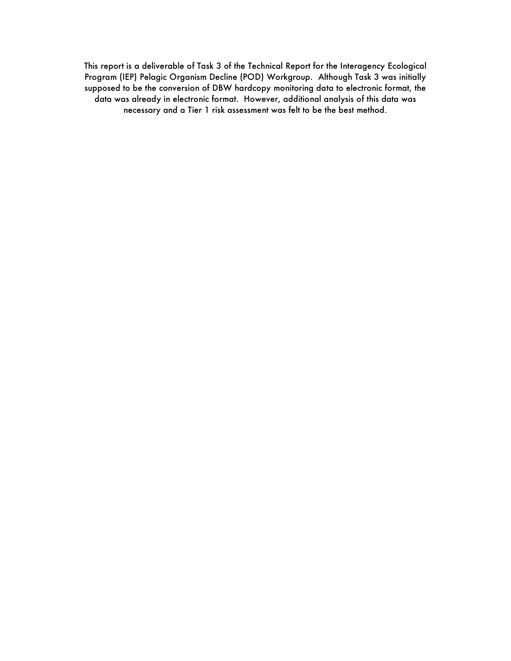This report is a deliverable of Task 3 of the Technical Report for the Interagency Ecological Program (IEP) Pelagic Organism Decline (POD) Workgroup. Although Task 3 was initially supposed to be the conversion of DBW hardcopy monitoring data to electronic format, the data was already in electronic format. However, additional analysis of this data was necessary and a Tier 1 risk assessment was felt to be the best method.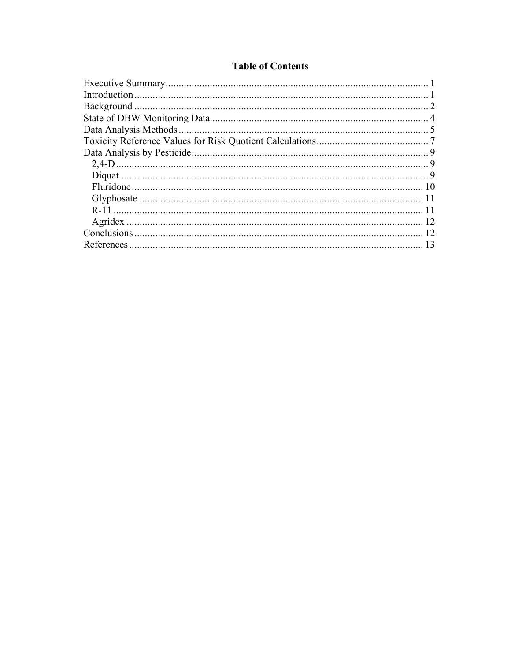### **Table of Contents**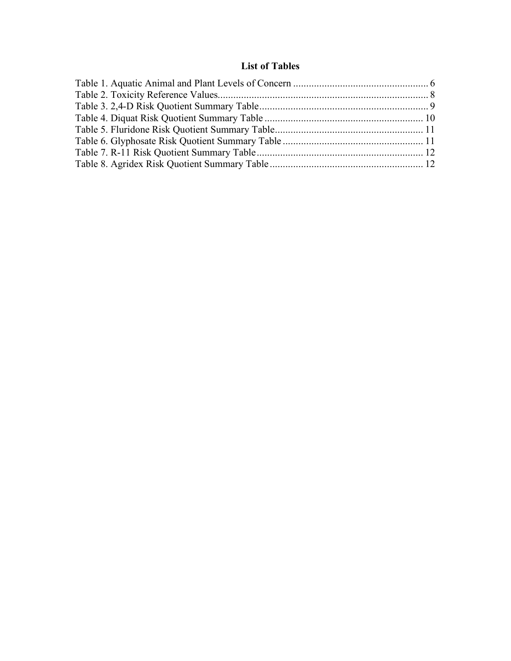### **List of Tables**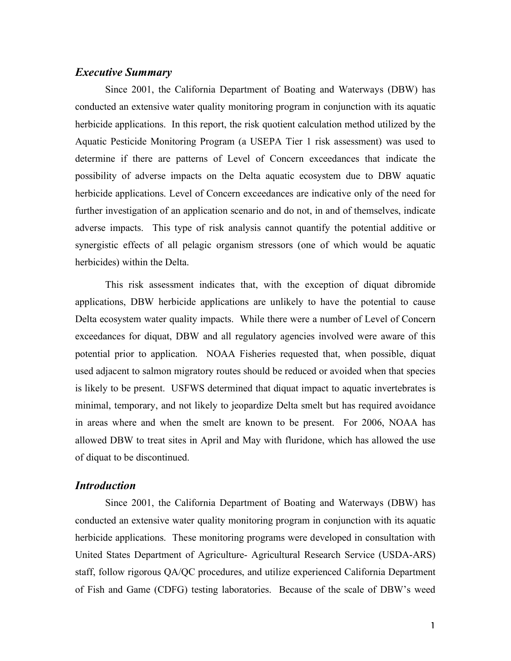### *Executive Summary*

Since 2001, the California Department of Boating and Waterways (DBW) has conducted an extensive water quality monitoring program in conjunction with its aquatic herbicide applications. In this report, the risk quotient calculation method utilized by the Aquatic Pesticide Monitoring Program (a USEPA Tier 1 risk assessment) was used to determine if there are patterns of Level of Concern exceedances that indicate the possibility of adverse impacts on the Delta aquatic ecosystem due to DBW aquatic herbicide applications. Level of Concern exceedances are indicative only of the need for further investigation of an application scenario and do not, in and of themselves, indicate adverse impacts. This type of risk analysis cannot quantify the potential additive or synergistic effects of all pelagic organism stressors (one of which would be aquatic herbicides) within the Delta.

This risk assessment indicates that, with the exception of diquat dibromide applications, DBW herbicide applications are unlikely to have the potential to cause Delta ecosystem water quality impacts. While there were a number of Level of Concern exceedances for diquat, DBW and all regulatory agencies involved were aware of this potential prior to application. NOAA Fisheries requested that, when possible, diquat used adjacent to salmon migratory routes should be reduced or avoided when that species is likely to be present. USFWS determined that diquat impact to aquatic invertebrates is minimal, temporary, and not likely to jeopardize Delta smelt but has required avoidance in areas where and when the smelt are known to be present. For 2006, NOAA has allowed DBW to treat sites in April and May with fluridone, which has allowed the use of diquat to be discontinued.

### *Introduction*

Since 2001, the California Department of Boating and Waterways (DBW) has conducted an extensive water quality monitoring program in conjunction with its aquatic herbicide applications. These monitoring programs were developed in consultation with United States Department of Agriculture- Agricultural Research Service (USDA-ARS) staff, follow rigorous QA/QC procedures, and utilize experienced California Department of Fish and Game (CDFG) testing laboratories. Because of the scale of DBW's weed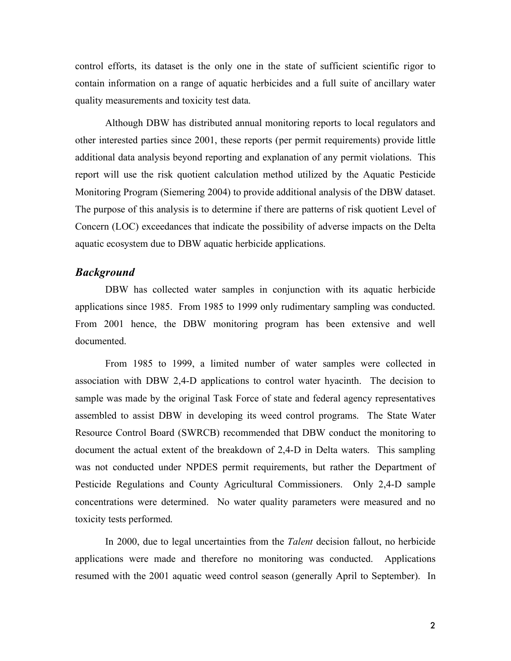control efforts, its dataset is the only one in the state of sufficient scientific rigor to contain information on a range of aquatic herbicides and a full suite of ancillary water quality measurements and toxicity test data.

Although DBW has distributed annual monitoring reports to local regulators and other interested parties since 2001, these reports (per permit requirements) provide little additional data analysis beyond reporting and explanation of any permit violations. This report will use the risk quotient calculation method utilized by the Aquatic Pesticide Monitoring Program (Siemering 2004) to provide additional analysis of the DBW dataset. The purpose of this analysis is to determine if there are patterns of risk quotient Level of Concern (LOC) exceedances that indicate the possibility of adverse impacts on the Delta aquatic ecosystem due to DBW aquatic herbicide applications.

### *Background*

DBW has collected water samples in conjunction with its aquatic herbicide applications since 1985. From 1985 to 1999 only rudimentary sampling was conducted. From 2001 hence, the DBW monitoring program has been extensive and well documented.

From 1985 to 1999, a limited number of water samples were collected in association with DBW 2,4-D applications to control water hyacinth. The decision to sample was made by the original Task Force of state and federal agency representatives assembled to assist DBW in developing its weed control programs. The State Water Resource Control Board (SWRCB) recommended that DBW conduct the monitoring to document the actual extent of the breakdown of 2,4-D in Delta waters. This sampling was not conducted under NPDES permit requirements, but rather the Department of Pesticide Regulations and County Agricultural Commissioners. Only 2,4-D sample concentrations were determined. No water quality parameters were measured and no toxicity tests performed.

In 2000, due to legal uncertainties from the *Talent* decision fallout, no herbicide applications were made and therefore no monitoring was conducted. Applications resumed with the 2001 aquatic weed control season (generally April to September). In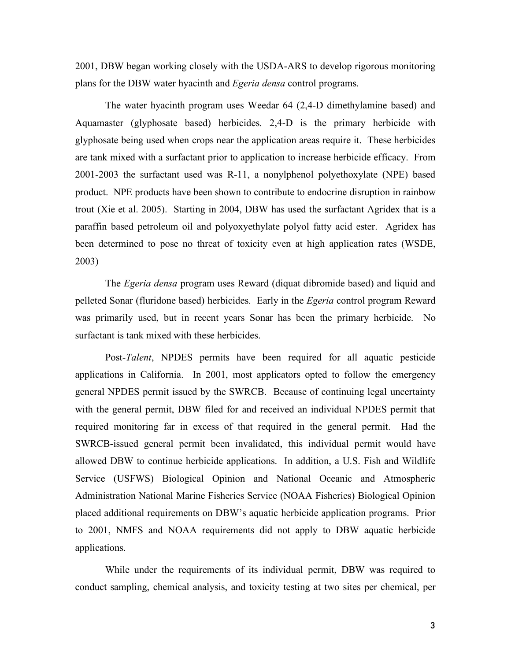2001, DBW began working closely with the USDA-ARS to develop rigorous monitoring plans for the DBW water hyacinth and *Egeria densa* control programs.

The water hyacinth program uses Weedar 64 (2,4-D dimethylamine based) and Aquamaster (glyphosate based) herbicides. 2,4-D is the primary herbicide with glyphosate being used when crops near the application areas require it. These herbicides are tank mixed with a surfactant prior to application to increase herbicide efficacy. From 2001-2003 the surfactant used was R-11, a nonylphenol polyethoxylate (NPE) based product. NPE products have been shown to contribute to endocrine disruption in rainbow trout (Xie et al. 2005). Starting in 2004, DBW has used the surfactant Agridex that is a paraffin based petroleum oil and polyoxyethylate polyol fatty acid ester. Agridex has been determined to pose no threat of toxicity even at high application rates (WSDE, 2003)

The *Egeria densa* program uses Reward (diquat dibromide based) and liquid and pelleted Sonar (fluridone based) herbicides. Early in the *Egeria* control program Reward was primarily used, but in recent years Sonar has been the primary herbicide. No surfactant is tank mixed with these herbicides.

Post-*Talent*, NPDES permits have been required for all aquatic pesticide applications in California. In 2001, most applicators opted to follow the emergency general NPDES permit issued by the SWRCB. Because of continuing legal uncertainty with the general permit, DBW filed for and received an individual NPDES permit that required monitoring far in excess of that required in the general permit. Had the SWRCB-issued general permit been invalidated, this individual permit would have allowed DBW to continue herbicide applications. In addition, a U.S. Fish and Wildlife Service (USFWS) Biological Opinion and National Oceanic and Atmospheric Administration National Marine Fisheries Service (NOAA Fisheries) Biological Opinion placed additional requirements on DBW's aquatic herbicide application programs. Prior to 2001, NMFS and NOAA requirements did not apply to DBW aquatic herbicide applications.

While under the requirements of its individual permit, DBW was required to conduct sampling, chemical analysis, and toxicity testing at two sites per chemical, per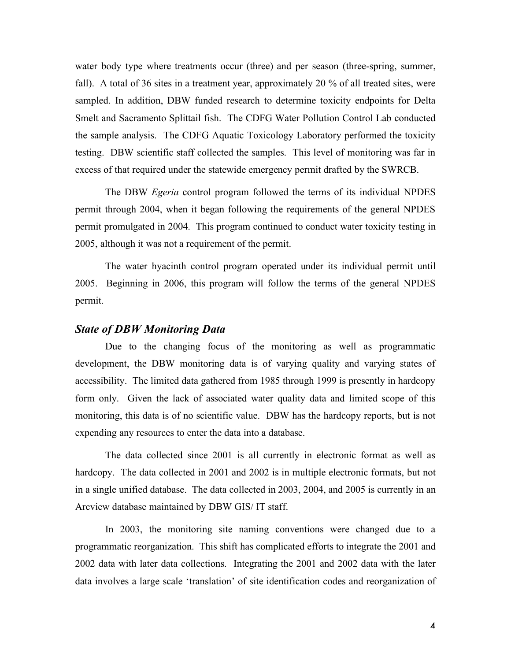water body type where treatments occur (three) and per season (three-spring, summer, fall). A total of 36 sites in a treatment year, approximately 20 % of all treated sites, were sampled. In addition, DBW funded research to determine toxicity endpoints for Delta Smelt and Sacramento Splittail fish. The CDFG Water Pollution Control Lab conducted the sample analysis. The CDFG Aquatic Toxicology Laboratory performed the toxicity testing. DBW scientific staff collected the samples. This level of monitoring was far in excess of that required under the statewide emergency permit drafted by the SWRCB.

The DBW *Egeria* control program followed the terms of its individual NPDES permit through 2004, when it began following the requirements of the general NPDES permit promulgated in 2004. This program continued to conduct water toxicity testing in 2005, although it was not a requirement of the permit.

The water hyacinth control program operated under its individual permit until 2005. Beginning in 2006, this program will follow the terms of the general NPDES permit.

#### *State of DBW Monitoring Data*

Due to the changing focus of the monitoring as well as programmatic development, the DBW monitoring data is of varying quality and varying states of accessibility. The limited data gathered from 1985 through 1999 is presently in hardcopy form only. Given the lack of associated water quality data and limited scope of this monitoring, this data is of no scientific value. DBW has the hardcopy reports, but is not expending any resources to enter the data into a database.

The data collected since 2001 is all currently in electronic format as well as hardcopy. The data collected in 2001 and 2002 is in multiple electronic formats, but not in a single unified database. The data collected in 2003, 2004, and 2005 is currently in an Arcview database maintained by DBW GIS/ IT staff.

In 2003, the monitoring site naming conventions were changed due to a programmatic reorganization. This shift has complicated efforts to integrate the 2001 and 2002 data with later data collections. Integrating the 2001 and 2002 data with the later data involves a large scale 'translation' of site identification codes and reorganization of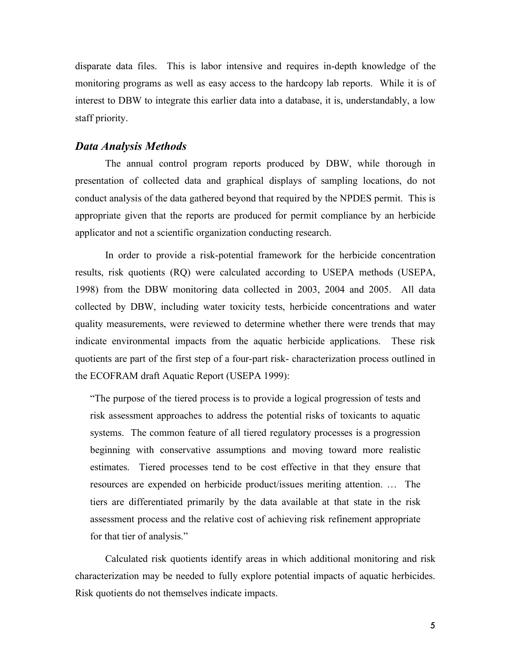disparate data files. This is labor intensive and requires in-depth knowledge of the monitoring programs as well as easy access to the hardcopy lab reports. While it is of interest to DBW to integrate this earlier data into a database, it is, understandably, a low staff priority.

### *Data Analysis Methods*

The annual control program reports produced by DBW, while thorough in presentation of collected data and graphical displays of sampling locations, do not conduct analysis of the data gathered beyond that required by the NPDES permit. This is appropriate given that the reports are produced for permit compliance by an herbicide applicator and not a scientific organization conducting research.

In order to provide a risk-potential framework for the herbicide concentration results, risk quotients (RQ) were calculated according to USEPA methods (USEPA, 1998) from the DBW monitoring data collected in 2003, 2004 and 2005. All data collected by DBW, including water toxicity tests, herbicide concentrations and water quality measurements, were reviewed to determine whether there were trends that may indicate environmental impacts from the aquatic herbicide applications. These risk quotients are part of the first step of a four-part risk- characterization process outlined in the ECOFRAM draft Aquatic Report (USEPA 1999):

"The purpose of the tiered process is to provide a logical progression of tests and risk assessment approaches to address the potential risks of toxicants to aquatic systems. The common feature of all tiered regulatory processes is a progression beginning with conservative assumptions and moving toward more realistic estimates. Tiered processes tend to be cost effective in that they ensure that resources are expended on herbicide product/issues meriting attention. … The tiers are differentiated primarily by the data available at that state in the risk assessment process and the relative cost of achieving risk refinement appropriate for that tier of analysis."

Calculated risk quotients identify areas in which additional monitoring and risk characterization may be needed to fully explore potential impacts of aquatic herbicides. Risk quotients do not themselves indicate impacts.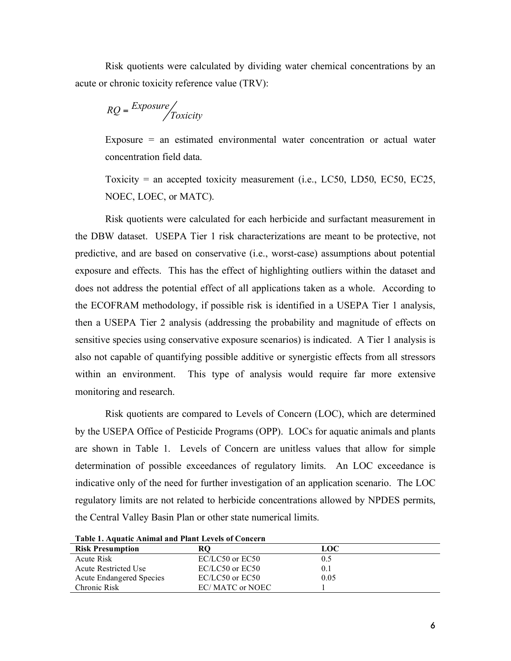Risk quotients were calculated by dividing water chemical concentrations by an acute or chronic toxicity reference value (TRV):

$$
RQ = \frac{Exposure}{\int\int\int}
$$

Exposure  $=$  an estimated environmental water concentration or actual water concentration field data.

Toxicity = an accepted toxicity measurement (i.e., LC50, LD50, EC50, EC25, NOEC, LOEC, or MATC).

Risk quotients were calculated for each herbicide and surfactant measurement in the DBW dataset. USEPA Tier 1 risk characterizations are meant to be protective, not predictive, and are based on conservative (i.e., worst-case) assumptions about potential exposure and effects. This has the effect of highlighting outliers within the dataset and does not address the potential effect of all applications taken as a whole. According to the ECOFRAM methodology, if possible risk is identified in a USEPA Tier 1 analysis, then a USEPA Tier 2 analysis (addressing the probability and magnitude of effects on sensitive species using conservative exposure scenarios) is indicated. A Tier 1 analysis is also not capable of quantifying possible additive or synergistic effects from all stressors within an environment. This type of analysis would require far more extensive monitoring and research.

Risk quotients are compared to Levels of Concern (LOC), which are determined by the USEPA Office of Pesticide Programs (OPP). LOCs for aquatic animals and plants are shown in Table 1. Levels of Concern are unitless values that allow for simple determination of possible exceedances of regulatory limits. An LOC exceedance is indicative only of the need for further investigation of an application scenario. The LOC regulatory limits are not related to herbicide concentrations allowed by NPDES permits, the Central Valley Basin Plan or other state numerical limits.

| Table 1. Aquatic Allilliai and Fiant Ecycly of Concerti |                 |      |  |
|---------------------------------------------------------|-----------------|------|--|
| <b>Risk Presumption</b>                                 | <b>RO</b>       | LOC  |  |
| Acute Risk                                              | EC/LC50 or EC50 | 0.5  |  |
| Acute Restricted Use                                    | EC/LC50 or EC50 | 0.1  |  |
| <b>Acute Endangered Species</b>                         | EC/LC50 or EC50 | 0.05 |  |
| Chronic Risk                                            | EC/MATC or NOEC |      |  |

**Table 1. Aquatic Animal and Plant Levels of Concern**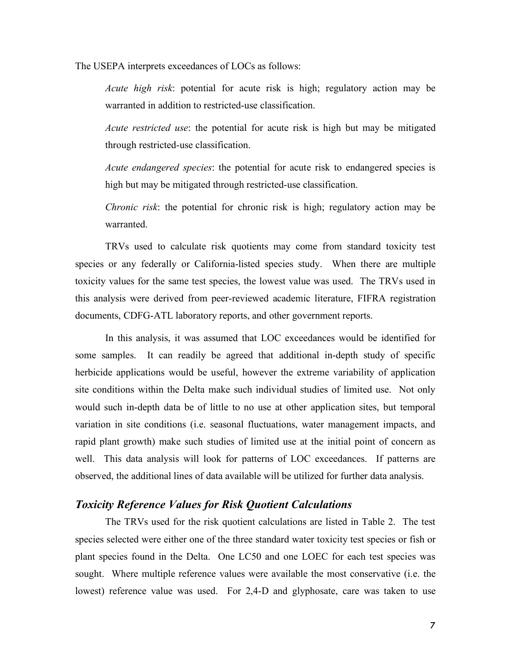The USEPA interprets exceedances of LOCs as follows:

*Acute high risk*: potential for acute risk is high; regulatory action may be warranted in addition to restricted-use classification.

*Acute restricted use*: the potential for acute risk is high but may be mitigated through restricted-use classification.

*Acute endangered species*: the potential for acute risk to endangered species is high but may be mitigated through restricted-use classification.

*Chronic risk*: the potential for chronic risk is high; regulatory action may be warranted.

TRVs used to calculate risk quotients may come from standard toxicity test species or any federally or California-listed species study. When there are multiple toxicity values for the same test species, the lowest value was used. The TRVs used in this analysis were derived from peer-reviewed academic literature, FIFRA registration documents, CDFG-ATL laboratory reports, and other government reports.

In this analysis, it was assumed that LOC exceedances would be identified for some samples. It can readily be agreed that additional in-depth study of specific herbicide applications would be useful, however the extreme variability of application site conditions within the Delta make such individual studies of limited use. Not only would such in-depth data be of little to no use at other application sites, but temporal variation in site conditions (i.e. seasonal fluctuations, water management impacts, and rapid plant growth) make such studies of limited use at the initial point of concern as well. This data analysis will look for patterns of LOC exceedances. If patterns are observed, the additional lines of data available will be utilized for further data analysis.

### *Toxicity Reference Values for Risk Quotient Calculations*

The TRVs used for the risk quotient calculations are listed in Table 2. The test species selected were either one of the three standard water toxicity test species or fish or plant species found in the Delta. One LC50 and one LOEC for each test species was sought. Where multiple reference values were available the most conservative (i.e. the lowest) reference value was used. For 2,4-D and glyphosate, care was taken to use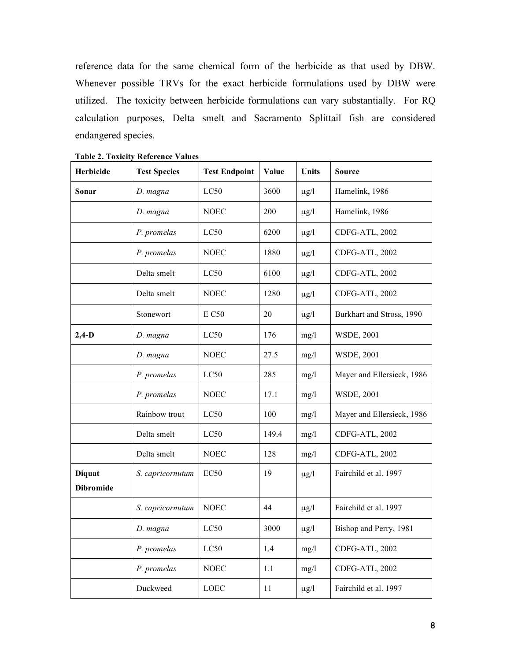reference data for the same chemical form of the herbicide as that used by DBW. Whenever possible TRVs for the exact herbicide formulations used by DBW were utilized. The toxicity between herbicide formulations can vary substantially. For RQ calculation purposes, Delta smelt and Sacramento Splittail fish are considered endangered species.

| Herbicide                         | <b>Test Species</b> | <b>Test Endpoint</b> | Value | <b>Units</b> | <b>Source</b>              |
|-----------------------------------|---------------------|----------------------|-------|--------------|----------------------------|
| Sonar                             | D. magna            | LC50                 | 3600  | $\mu$ g/l    | Hamelink, 1986             |
|                                   | D. magna            | <b>NOEC</b>          | 200   | $\mu$ g/l    | Hamelink, 1986             |
|                                   | P. promelas         | LC50                 | 6200  | $\mu$ g/l    | CDFG-ATL, 2002             |
|                                   | P. promelas         | <b>NOEC</b>          | 1880  | $\mu$ g/l    | CDFG-ATL, 2002             |
|                                   | Delta smelt         | LC50                 | 6100  | $\mu$ g/l    | CDFG-ATL, 2002             |
|                                   | Delta smelt         | <b>NOEC</b>          | 1280  | $\mu$ g/l    | CDFG-ATL, 2002             |
|                                   | Stonewort           | <b>E C50</b>         | 20    | $\mu$ g/l    | Burkhart and Stross, 1990  |
| $2,4-D$                           | D. magna            | LC50                 | 176   | mg/l         | <b>WSDE, 2001</b>          |
|                                   | D. magna            | <b>NOEC</b>          | 27.5  | mg/l         | <b>WSDE, 2001</b>          |
|                                   | P. promelas         | LC50                 | 285   | mg/l         | Mayer and Ellersieck, 1986 |
|                                   | P. promelas         | <b>NOEC</b>          | 17.1  | mg/l         | <b>WSDE, 2001</b>          |
|                                   | Rainbow trout       | LC50                 | 100   | mg/l         | Mayer and Ellersieck, 1986 |
|                                   | Delta smelt         | LC50                 | 149.4 | mg/l         | CDFG-ATL, 2002             |
|                                   | Delta smelt         | <b>NOEC</b>          | 128   | mg/l         | CDFG-ATL, 2002             |
| <b>Diquat</b><br><b>Dibromide</b> | S. capricornutum    | <b>EC50</b>          | 19    | $\mu$ g/l    | Fairchild et al. 1997      |
|                                   | S. capricornutum    | <b>NOEC</b>          | 44    | $\mu g/l$    | Fairchild et al. 1997      |
|                                   | D. magna            | LC50                 | 3000  | $\mu$ g/l    | Bishop and Perry, 1981     |
|                                   | P. promelas         | LC50                 | 1.4   | mg/l         | CDFG-ATL, 2002             |
|                                   | P. promelas         | <b>NOEC</b>          | 1.1   | mg/l         | CDFG-ATL, 2002             |
|                                   | Duckweed            | LOEC                 | 11    | $\mu$ g/l    | Fairchild et al. 1997      |

**Table 2. Toxicity Reference Values**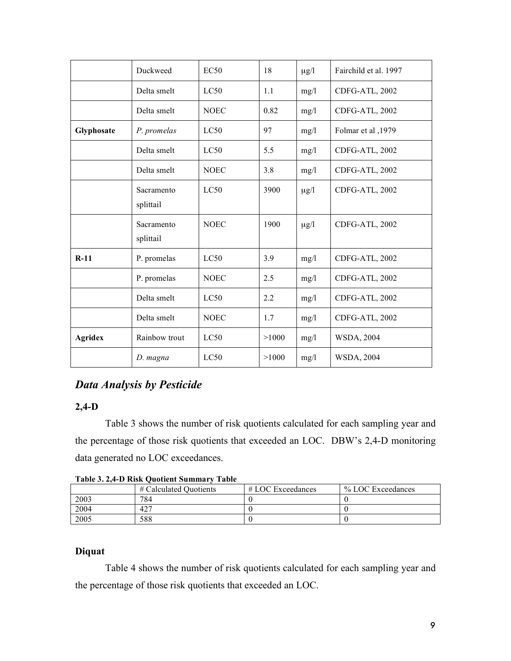|                | Duckweed                | EC50        | 18    | $\mu$ g/l | Fairchild et al. 1997 |
|----------------|-------------------------|-------------|-------|-----------|-----------------------|
|                | Delta smelt             | LC50        | 1.1   | mg/l      | CDFG-ATL, 2002        |
|                | Delta smelt             | <b>NOEC</b> | 0.82  | mg/l      | CDFG-ATL, 2002        |
| Glyphosate     | P. promelas             | LC50        | 97    | mg/l      | Folmar et al ,1979    |
|                | Delta smelt             | LC50        | 5.5   | mg/l      | CDFG-ATL, 2002        |
|                | Delta smelt             | <b>NOEC</b> | 3.8   | mg/l      | CDFG-ATL, 2002        |
|                | Sacramento<br>splittail | LC50        | 3900  | $\mu$ g/l | CDFG-ATL, 2002        |
|                | Sacramento<br>splittail | <b>NOEC</b> | 1900  | $\mu$ g/l | CDFG-ATL, 2002        |
| $R-11$         | P. promelas             | LC50        | 3.9   | mg/l      | CDFG-ATL, 2002        |
|                | P. promelas             | <b>NOEC</b> | 2.5   | mg/l      | CDFG-ATL, 2002        |
|                | Delta smelt             | LC50        | 2.2   | mg/l      | CDFG-ATL, 2002        |
|                | Delta smelt             | <b>NOEC</b> | 1.7   | mg/l      | CDFG-ATL, 2002        |
| <b>Agridex</b> | Rainbow trout           | LC50        | >1000 | mg/l      | <b>WSDA, 2004</b>     |
|                | D. magna                | LC50        | >1000 | mg/l      | <b>WSDA, 2004</b>     |

### *Data Analysis by Pesticide*

### **2,4-D**

Table 3 shows the number of risk quotients calculated for each sampling year and the percentage of those risk quotients that exceeded an LOC. DBW's 2,4-D monitoring data generated no LOC exceedances.

| Table 5. 2, -- D INISK QUOLIERE SUMMALY TABLE |                        |                     |                   |  |
|-----------------------------------------------|------------------------|---------------------|-------------------|--|
|                                               | # Calculated Quotients | $# LOC$ Exceedances | % LOC Exceedances |  |
| 2003                                          | 784                    |                     |                   |  |
| 2004                                          | 42 <sup>7</sup>        |                     |                   |  |
| 2005                                          | 588                    |                     |                   |  |

**Table 3. 2,4-D Risk Quotient Summary Table**

### **Diquat**

Table 4 shows the number of risk quotients calculated for each sampling year and the percentage of those risk quotients that exceeded an LOC.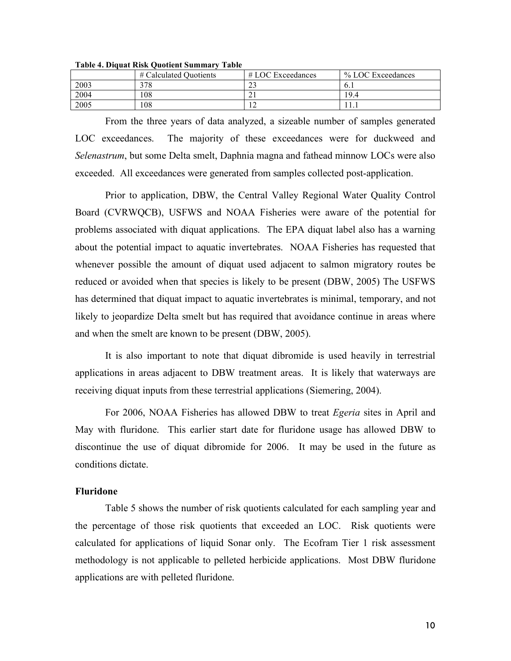|      | # Calculated Quotients | $#$ LOC Exceedances | % LOC Exceedances |
|------|------------------------|---------------------|-------------------|
| 2003 | 378                    | $\sim$<br>ل ک       | 0.1               |
| 2004 | 108                    | "                   | 19.4              |
| 2005 | 108                    |                     | 11.1              |

**Table 4. Diquat Risk Quotient Summary Table**

From the three years of data analyzed, a sizeable number of samples generated LOC exceedances. The majority of these exceedances were for duckweed and *Selenastrum*, but some Delta smelt, Daphnia magna and fathead minnow LOCs were also exceeded. All exceedances were generated from samples collected post-application.

Prior to application, DBW, the Central Valley Regional Water Quality Control Board (CVRWQCB), USFWS and NOAA Fisheries were aware of the potential for problems associated with diquat applications. The EPA diquat label also has a warning about the potential impact to aquatic invertebrates. NOAA Fisheries has requested that whenever possible the amount of diquat used adjacent to salmon migratory routes be reduced or avoided when that species is likely to be present (DBW, 2005) The USFWS has determined that diquat impact to aquatic invertebrates is minimal, temporary, and not likely to jeopardize Delta smelt but has required that avoidance continue in areas where and when the smelt are known to be present (DBW, 2005).

It is also important to note that diquat dibromide is used heavily in terrestrial applications in areas adjacent to DBW treatment areas. It is likely that waterways are receiving diquat inputs from these terrestrial applications (Siemering, 2004).

For 2006, NOAA Fisheries has allowed DBW to treat *Egeria* sites in April and May with fluridone. This earlier start date for fluridone usage has allowed DBW to discontinue the use of diquat dibromide for 2006. It may be used in the future as conditions dictate.

#### **Fluridone**

Table 5 shows the number of risk quotients calculated for each sampling year and the percentage of those risk quotients that exceeded an LOC. Risk quotients were calculated for applications of liquid Sonar only. The Ecofram Tier 1 risk assessment methodology is not applicable to pelleted herbicide applications. Most DBW fluridone applications are with pelleted fluridone.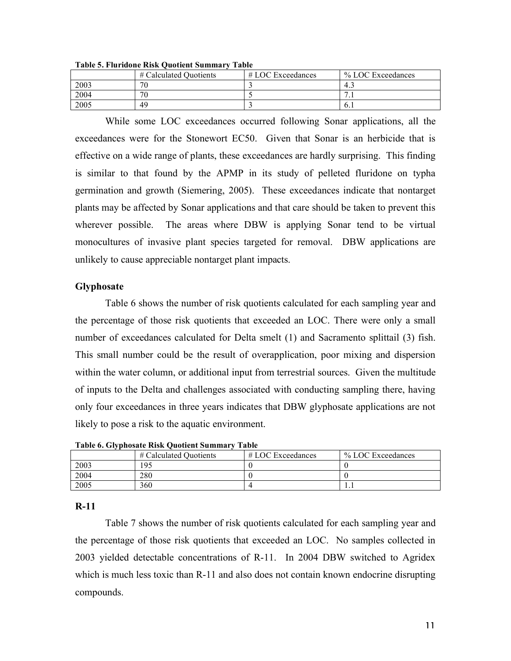| .    |                        |                     |                   |  |
|------|------------------------|---------------------|-------------------|--|
|      | # Calculated Quotients | $#$ LOC Exceedances | % LOC Exceedances |  |
| 2003 | 70                     |                     | 4.1               |  |
| 2004 | 70                     |                     | .                 |  |
| 2005 | 49                     |                     | 0.1               |  |

**Table 5. Fluridone Risk Quotient Summary Table**

While some LOC exceedances occurred following Sonar applications, all the exceedances were for the Stonewort EC50. Given that Sonar is an herbicide that is effective on a wide range of plants, these exceedances are hardly surprising. This finding is similar to that found by the APMP in its study of pelleted fluridone on typha germination and growth (Siemering, 2005). These exceedances indicate that nontarget plants may be affected by Sonar applications and that care should be taken to prevent this wherever possible. The areas where DBW is applying Sonar tend to be virtual monocultures of invasive plant species targeted for removal. DBW applications are unlikely to cause appreciable nontarget plant impacts.

#### **Glyphosate**

Table 6 shows the number of risk quotients calculated for each sampling year and the percentage of those risk quotients that exceeded an LOC. There were only a small number of exceedances calculated for Delta smelt (1) and Sacramento splittail (3) fish. This small number could be the result of overapplication, poor mixing and dispersion within the water column, or additional input from terrestrial sources. Given the multitude of inputs to the Delta and challenges associated with conducting sampling there, having only four exceedances in three years indicates that DBW glyphosate applications are not likely to pose a risk to the aquatic environment.

| THOIC OF OIT DHOSHIC IMSIL QUOILUIL DUMININI T<br>. |                        |                   |                   |  |  |
|-----------------------------------------------------|------------------------|-------------------|-------------------|--|--|
|                                                     | # Calculated Quotients | # LOC Exceedances | % LOC Exceedances |  |  |
| 2003                                                | -95                    |                   |                   |  |  |
| 2004                                                | 280                    |                   |                   |  |  |
| 2005                                                | 360                    |                   | .                 |  |  |

**Table 6. Glyphosate Risk Quotient Summary Table**

#### **R-11**

Table 7 shows the number of risk quotients calculated for each sampling year and the percentage of those risk quotients that exceeded an LOC. No samples collected in 2003 yielded detectable concentrations of R-11. In 2004 DBW switched to Agridex which is much less toxic than R-11 and also does not contain known endocrine disrupting compounds.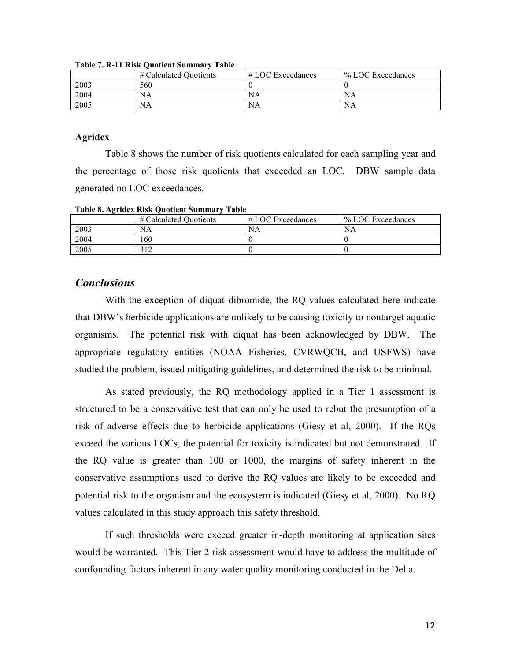|      | # Calculated Quotients | $#$ LOC Exceedances | % LOC Exceedances |
|------|------------------------|---------------------|-------------------|
| 2003 | 560                    |                     |                   |
| 2004 | NA                     | NA                  | ΝA                |
| 2005 | NA                     | NA                  | NA                |

**Table 7. R-11 Risk Quotient Summary Table**

#### **Agridex**

Table 8 shows the number of risk quotients calculated for each sampling year and the percentage of those risk quotients that exceeded an LOC. DBW sample data generated no LOC exceedances.

| $1.0010$ of $1.111$ and $1.0011$ $\vee$ about $0.0111$ and $1.011$<br>. |                        |                     |                   |  |
|-------------------------------------------------------------------------|------------------------|---------------------|-------------------|--|
|                                                                         | # Calculated Quotients | $#$ LOC Exceedances | % LOC Exceedances |  |
| 2003                                                                    | NA                     | NA                  | NA                |  |
| 2004                                                                    | .60                    |                     |                   |  |
| 2005                                                                    |                        |                     |                   |  |

#### **Table 8. Agridex Risk Quotient Summary Table**

### *Conclusions*

With the exception of diquat dibromide, the RQ values calculated here indicate that DBW's herbicide applications are unlikely to be causing toxicity to nontarget aquatic organisms. The potential risk with diquat has been acknowledged by DBW. The appropriate regulatory entities (NOAA Fisheries, CVRWQCB, and USFWS) have studied the problem, issued mitigating guidelines, and determined the risk to be minimal.

As stated previously, the RQ methodology applied in a Tier 1 assessment is structured to be a conservative test that can only be used to rebut the presumption of a risk of adverse effects due to herbicide applications (Giesy et al, 2000). If the RQs exceed the various LOCs, the potential for toxicity is indicated but not demonstrated. If the RQ value is greater than 100 or 1000, the margins of safety inherent in the conservative assumptions used to derive the RQ values are likely to be exceeded and potential risk to the organism and the ecosystem is indicated (Giesy et al, 2000). No RQ values calculated in this study approach this safety threshold.

If such thresholds were exceed greater in-depth monitoring at application sites would be warranted. This Tier 2 risk assessment would have to address the multitude of confounding factors inherent in any water quality monitoring conducted in the Delta.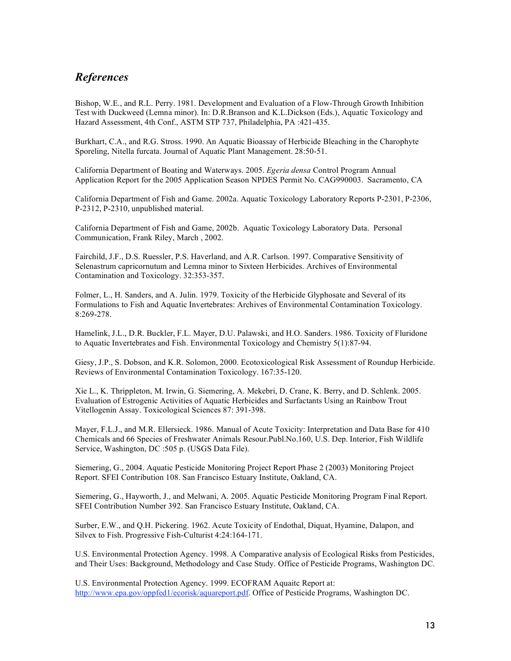### *References*

Bishop, W.E., and R.L. Perry. 1981. Development and Evaluation of a Flow-Through Growth Inhibition Test with Duckweed (Lemna minor). In: D.R.Branson and K.L.Dickson (Eds.), Aquatic Toxicology and Hazard Assessment, 4th Conf., ASTM STP 737, Philadelphia, PA :421-435.

Burkhart, C.A., and R.G. Stross. 1990. An Aquatic Bioassay of Herbicide Bleaching in the Charophyte Sporeling, Nitella furcata. Journal of Aquatic Plant Management. 28:50-51.

California Department of Boating and Waterways. 2005. *Egeria densa* Control Program Annual Application Report for the 2005 Application Season NPDES Permit No. CAG990003. Sacramento, CA

California Department of Fish and Game. 2002a. Aquatic Toxicology Laboratory Reports P-2301, P-2306, P-2312, P-2310, unpublished material.

California Department of Fish and Game, 2002b. Aquatic Toxicology Laboratory Data. Personal Communication, Frank Riley, March , 2002.

Fairchild, J.F., D.S. Ruessler, P.S. Haverland, and A.R. Carlson. 1997. Comparative Sensitivity of Selenastrum capricornutum and Lemna minor to Sixteen Herbicides. Archives of Environmental Contamination and Toxicology. 32:353-357.

Folmer, L., H. Sanders, and A. Julin. 1979. Toxicity of the Herbicide Glyphosate and Several of its Formulations to Fish and Aquatic Invertebrates: Archives of Environmental Contamination Toxicology. 8:269-278.

Hamelink, J.L., D.R. Buckler, F.L. Mayer, D.U. Palawski, and H.O. Sanders. 1986. Toxicity of Fluridone to Aquatic Invertebrates and Fish. Environmental Toxicology and Chemistry 5(1):87-94.

Giesy, J.P., S. Dobson, and K.R. Solomon, 2000. Ecotoxicological Risk Assessment of Roundup Herbicide. Reviews of Environmental Contamination Toxicology. 167:35-120.

Xie L., K. Thrippleton, M. Irwin, G. Siemering, A. Mekebri, D. Crane, K. Berry, and D. Schlenk. 2005. Evaluation of Estrogenic Activities of Aquatic Herbicides and Surfactants Using an Rainbow Trout Vitellogenin Assay. Toxicological Sciences 87: 391-398.

Mayer, F.L.J., and M.R. Ellersieck. 1986. Manual of Acute Toxicity: Interpretation and Data Base for 410 Chemicals and 66 Species of Freshwater Animals Resour.Publ.No.160, U.S. Dep. Interior, Fish Wildlife Service, Washington, DC :505 p. (USGS Data File).

Siemering, G., 2004. Aquatic Pesticide Monitoring Project Report Phase 2 (2003) Monitoring Project Report. SFEI Contribution 108. San Francisco Estuary Institute, Oakland, CA.

Siemering, G., Hayworth, J., and Melwani, A. 2005. Aquatic Pesticide Monitoring Program Final Report. SFEI Contribution Number 392. San Francisco Estuary Institute, Oakland, CA.

Surber, E.W., and Q.H. Pickering. 1962. Acute Toxicity of Endothal, Diquat, Hyamine, Dalapon, and Silvex to Fish. Progressive Fish-Culturist 4:24:164-171.

U.S. Environmental Protection Agency. 1998. A Comparative analysis of Ecological Risks from Pesticides, and Their Uses: Background, Methodology and Case Study. Office of Pesticide Programs, Washington DC.

U.S. Environmental Protection Agency. 1999. ECOFRAM Aquaitc Report at: http://www.epa.gov/oppfed1/ecorisk/aquareport.pdf. Office of Pesticide Programs, Washington DC.